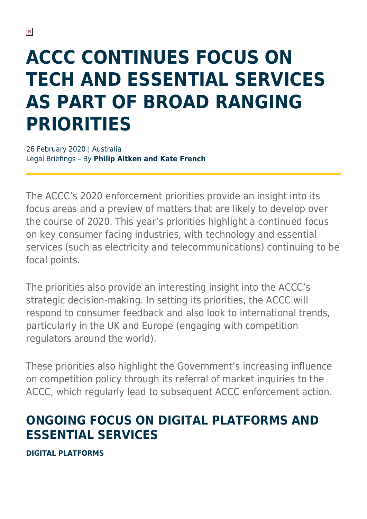# **ACCC CONTINUES FOCUS ON TECH AND ESSENTIAL SERVICES AS PART OF BROAD RANGING PRIORITIES**

26 February 2020 | Australia Legal Briefings – By **Philip Aitken and Kate French**

The ACCC's 2020 enforcement priorities provide an insight into its focus areas and a preview of matters that are likely to develop over the course of 2020. This year's priorities highlight a continued focus on key consumer facing industries, with technology and essential services (such as electricity and telecommunications) continuing to be focal points.

The priorities also provide an interesting insight into the ACCC's strategic decision-making. In setting its priorities, the ACCC will respond to consumer feedback and also look to international trends, particularly in the UK and Europe (engaging with competition regulators around the world).

These priorities also highlight the Government's increasing influence on competition policy through its referral of market inquiries to the ACCC, which regularly lead to subsequent ACCC enforcement action.

### **ONGOING FOCUS ON DIGITAL PLATFORMS AND ESSENTIAL SERVICES**

**DIGITAL PLATFORMS**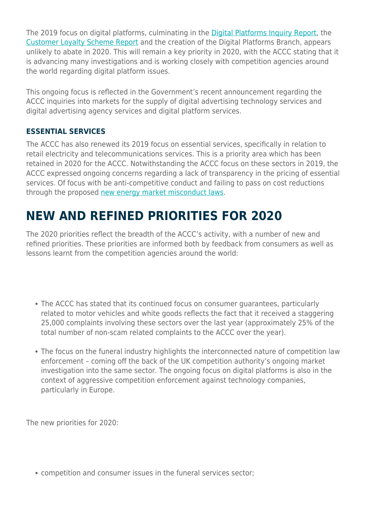The 2019 focus on digital platforms, culminating in the [Digital Platforms Inquiry Report,](https://www.herbertsmithfreehills.com/latest-thinking/accc-digital-platforms-inquiry-government-response) the [Customer Loyalty Scheme Report](https://www.herbertsmithfreehills.com/latest-thinking/the-accc-continues-its-push-on-personal-information) and the creation of the Digital Platforms Branch, appears unlikely to abate in 2020. This will remain a key priority in 2020, with the ACCC stating that it is advancing many investigations and is working closely with competition agencies around the world regarding digital platform issues.

This ongoing focus is reflected in the Government's recent announcement regarding the ACCC inquiries into markets for the supply of digital advertising technology services and digital advertising agency services and digital platform services.

#### **ESSENTIAL SERVICES**

The ACCC has also renewed its 2019 focus on essential services, specifically in relation to retail electricity and telecommunications services. This is a priority area which has been retained in 2020 for the ACCC. Notwithstanding the ACCC focus on these sectors in 2019, the ACCC expressed ongoing concerns regarding a lack of transparency in the pricing of essential services. Of focus with be anti-competitive conduct and failing to pass on cost reductions through the proposed [new energy market misconduct laws.](https://www.herbertsmithfreehills.com/latest-thinking/federal-government-revives-its-controversial-electricity-misconduct-bill)

#### **NEW AND REFINED PRIORITIES FOR 2020**

The 2020 priorities reflect the breadth of the ACCC's activity, with a number of new and refined priorities. These priorities are informed both by feedback from consumers as well as lessons learnt from the competition agencies around the world:

- The ACCC has stated that its continued focus on consumer guarantees, particularly related to motor vehicles and white goods reflects the fact that it received a staggering 25,000 complaints involving these sectors over the last year (approximately 25% of the total number of non-scam related complaints to the ACCC over the year).
- The focus on the funeral industry highlights the interconnected nature of competition law enforcement – coming off the back of the UK competition authority's ongoing market investigation into the same sector. The ongoing focus on digital platforms is also in the context of aggressive competition enforcement against technology companies, particularly in Europe.

The new priorities for 2020:

competition and consumer issues in the funeral services sector;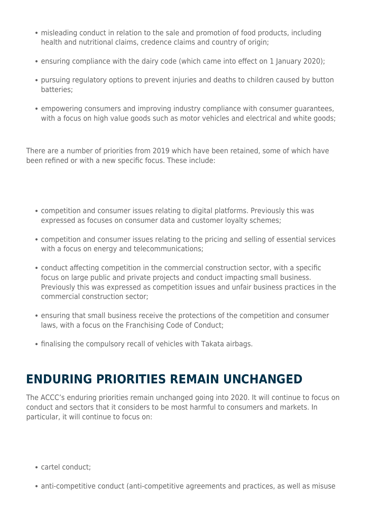- misleading conduct in relation to the sale and promotion of food products, including health and nutritional claims, credence claims and country of origin;
- ensuring compliance with the dairy code (which came into effect on 1 January 2020);
- pursuing regulatory options to prevent injuries and deaths to children caused by button batteries;
- empowering consumers and improving industry compliance with consumer guarantees, with a focus on high value goods such as motor vehicles and electrical and white goods;

There are a number of priorities from 2019 which have been retained, some of which have been refined or with a new specific focus. These include:

- competition and consumer issues relating to digital platforms. Previously this was expressed as focuses on consumer data and customer loyalty schemes;
- competition and consumer issues relating to the pricing and selling of essential services with a focus on energy and telecommunications;
- conduct affecting competition in the commercial construction sector, with a specific focus on large public and private projects and conduct impacting small business. Previously this was expressed as competition issues and unfair business practices in the commercial construction sector;
- ensuring that small business receive the protections of the competition and consumer laws, with a focus on the Franchising Code of Conduct;
- finalising the compulsory recall of vehicles with Takata airbags.

#### **ENDURING PRIORITIES REMAIN UNCHANGED**

The ACCC's enduring priorities remain unchanged going into 2020. It will continue to focus on conduct and sectors that it considers to be most harmful to consumers and markets. In particular, it will continue to focus on:

- cartel conduct;
- anti-competitive conduct (anti-competitive agreements and practices, as well as misuse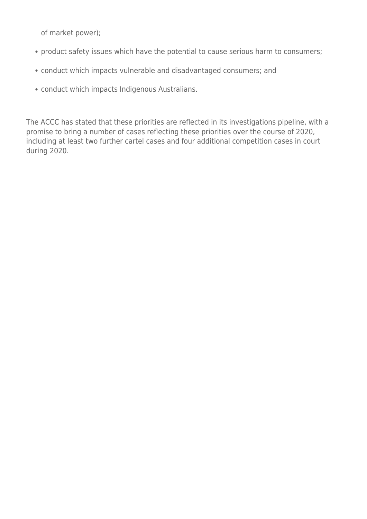of market power);

- product safety issues which have the potential to cause serious harm to consumers;
- conduct which impacts vulnerable and disadvantaged consumers; and
- conduct which impacts Indigenous Australians.

The ACCC has stated that these priorities are reflected in its investigations pipeline, with a promise to bring a number of cases reflecting these priorities over the course of 2020, including at least two further cartel cases and four additional competition cases in court during 2020.